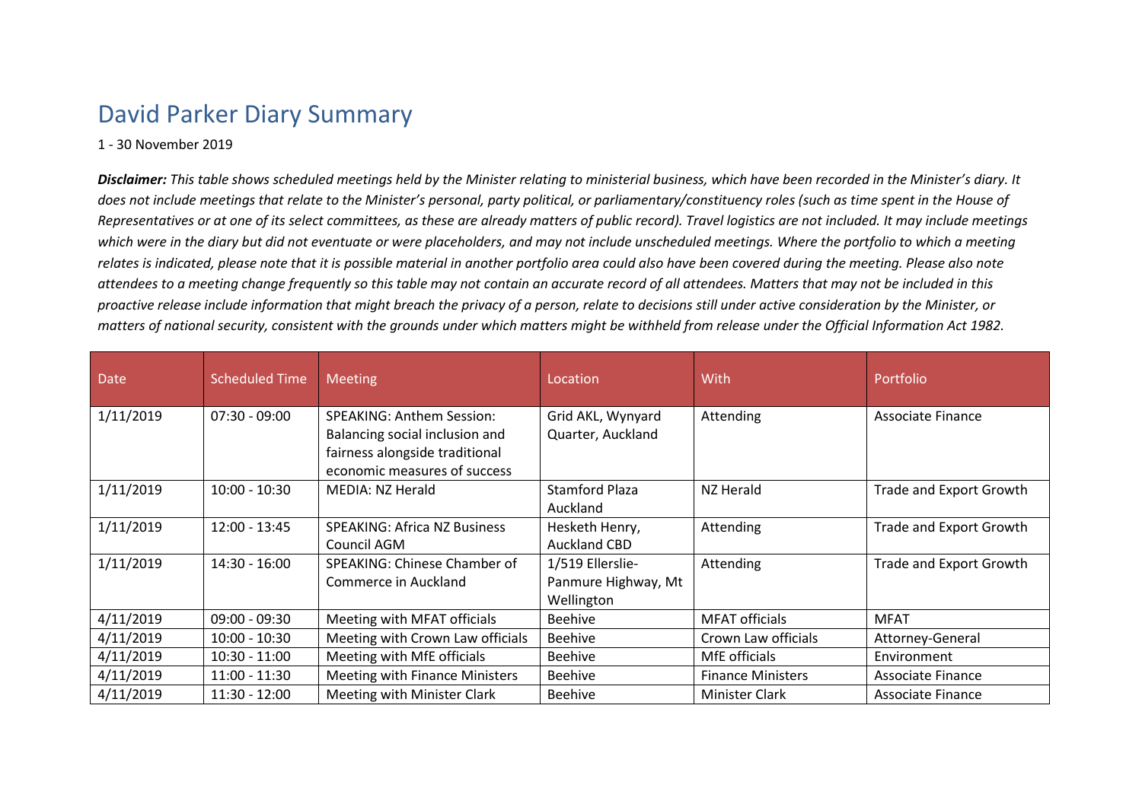## David Parker Diary Summary

## 1 - 30 November 2019

*Disclaimer: This table shows scheduled meetings held by the Minister relating to ministerial business, which have been recorded in the Minister's diary. It does not include meetings that relate to the Minister's personal, party political, or parliamentary/constituency roles (such as time spent in the House of Representatives or at one of its select committees, as these are already matters of public record). Travel logistics are not included. It may include meetings which were in the diary but did not eventuate or were placeholders, and may not include unscheduled meetings. Where the portfolio to which a meeting relates is indicated, please note that it is possible material in another portfolio area could also have been covered during the meeting. Please also note attendees to a meeting change frequently so this table may not contain an accurate record of all attendees. Matters that may not be included in this proactive release include information that might breach the privacy of a person, relate to decisions still under active consideration by the Minister, or matters of national security, consistent with the grounds under which matters might be withheld from release under the Official Information Act 1982.*

| <b>Date</b> | <b>Scheduled Time</b> | <b>Meeting</b>                                                                                                                       | Location                                              | With                     | Portfolio               |
|-------------|-----------------------|--------------------------------------------------------------------------------------------------------------------------------------|-------------------------------------------------------|--------------------------|-------------------------|
| 1/11/2019   | $07:30 - 09:00$       | <b>SPEAKING: Anthem Session:</b><br>Balancing social inclusion and<br>fairness alongside traditional<br>economic measures of success | Grid AKL, Wynyard<br>Quarter, Auckland                | Attending                | Associate Finance       |
| 1/11/2019   | $10:00 - 10:30$       | MEDIA: NZ Herald                                                                                                                     | <b>Stamford Plaza</b><br>Auckland                     | NZ Herald                | Trade and Export Growth |
| 1/11/2019   | $12:00 - 13:45$       | <b>SPEAKING: Africa NZ Business</b><br>Council AGM                                                                                   | Hesketh Henry,<br><b>Auckland CBD</b>                 | Attending                | Trade and Export Growth |
| 1/11/2019   | $14:30 - 16:00$       | SPEAKING: Chinese Chamber of<br>Commerce in Auckland                                                                                 | 1/519 Ellerslie-<br>Panmure Highway, Mt<br>Wellington | Attending                | Trade and Export Growth |
| 4/11/2019   | $09:00 - 09:30$       | Meeting with MFAT officials                                                                                                          | <b>Beehive</b>                                        | <b>MFAT</b> officials    | <b>MFAT</b>             |
| 4/11/2019   | $10:00 - 10:30$       | Meeting with Crown Law officials                                                                                                     | <b>Beehive</b>                                        | Crown Law officials      | Attorney-General        |
| 4/11/2019   | $10:30 - 11:00$       | Meeting with MfE officials                                                                                                           | <b>Beehive</b>                                        | MfE officials            | Environment             |
| 4/11/2019   | $11:00 - 11:30$       | <b>Meeting with Finance Ministers</b>                                                                                                | <b>Beehive</b>                                        | <b>Finance Ministers</b> | Associate Finance       |
| 4/11/2019   | $11:30 - 12:00$       | Meeting with Minister Clark                                                                                                          | <b>Beehive</b>                                        | Minister Clark           | Associate Finance       |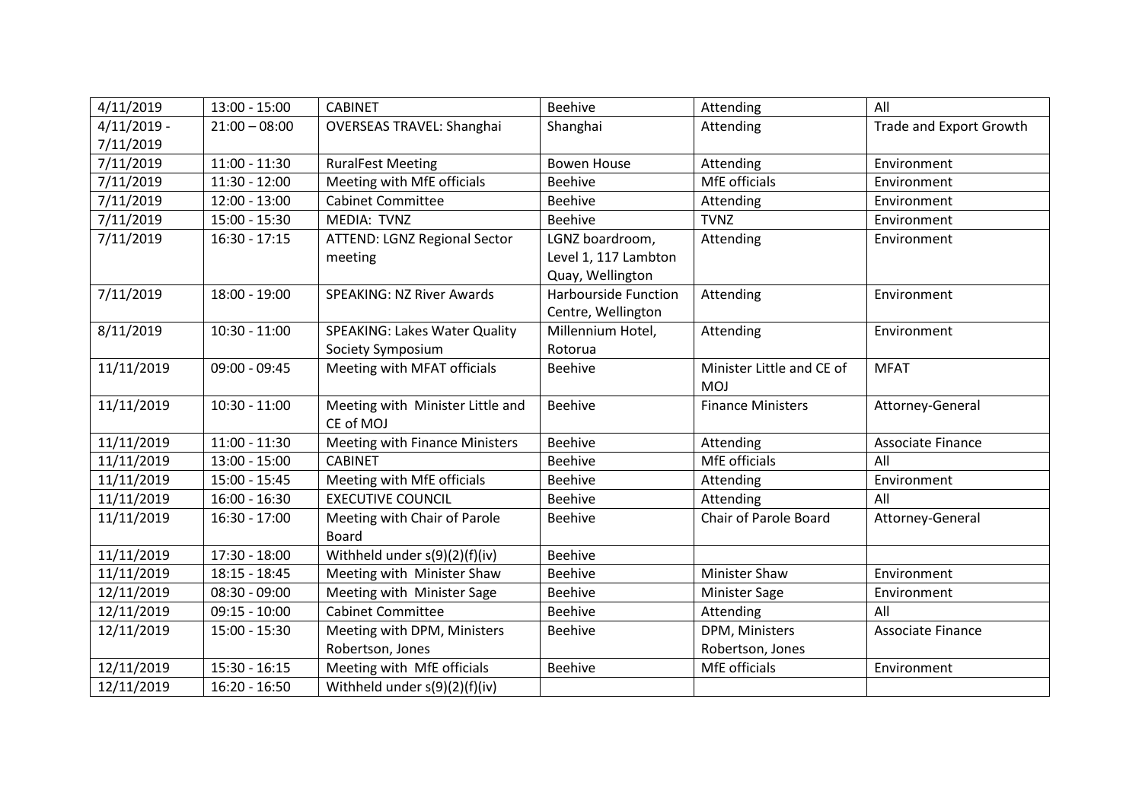| 4/11/2019     | $13:00 - 15:00$ | <b>CABINET</b>                       | Beehive              | Attending                 | All                     |
|---------------|-----------------|--------------------------------------|----------------------|---------------------------|-------------------------|
| $4/11/2019$ - | $21:00 - 08:00$ | <b>OVERSEAS TRAVEL: Shanghai</b>     | Shanghai             | Attending                 | Trade and Export Growth |
| 7/11/2019     |                 |                                      |                      |                           |                         |
| 7/11/2019     | $11:00 - 11:30$ | <b>RuralFest Meeting</b>             | <b>Bowen House</b>   | Attending                 | Environment             |
| 7/11/2019     | $11:30 - 12:00$ | Meeting with MfE officials           | <b>Beehive</b>       | MfE officials             | Environment             |
| 7/11/2019     | $12:00 - 13:00$ | <b>Cabinet Committee</b>             | <b>Beehive</b>       | Attending                 | Environment             |
| 7/11/2019     | $15:00 - 15:30$ | MEDIA: TVNZ                          | Beehive              | <b>TVNZ</b>               | Environment             |
| 7/11/2019     | $16:30 - 17:15$ | ATTEND: LGNZ Regional Sector         | LGNZ boardroom,      | Attending                 | Environment             |
|               |                 | meeting                              | Level 1, 117 Lambton |                           |                         |
|               |                 |                                      | Quay, Wellington     |                           |                         |
| 7/11/2019     | $18:00 - 19:00$ | <b>SPEAKING: NZ River Awards</b>     | Harbourside Function | Attending                 | Environment             |
|               |                 |                                      | Centre, Wellington   |                           |                         |
| 8/11/2019     | $10:30 - 11:00$ | <b>SPEAKING: Lakes Water Quality</b> | Millennium Hotel,    | Attending                 | Environment             |
|               |                 | Society Symposium                    | Rotorua              |                           |                         |
| 11/11/2019    | $09:00 - 09:45$ | Meeting with MFAT officials          | Beehive              | Minister Little and CE of | <b>MFAT</b>             |
|               |                 |                                      |                      | <b>MOJ</b>                |                         |
| 11/11/2019    | $10:30 - 11:00$ | Meeting with Minister Little and     | <b>Beehive</b>       | <b>Finance Ministers</b>  | Attorney-General        |
|               |                 | CE of MOJ                            |                      |                           |                         |
| 11/11/2019    | $11:00 - 11:30$ | Meeting with Finance Ministers       | Beehive              | Attending                 | Associate Finance       |
| 11/11/2019    | $13:00 - 15:00$ | <b>CABINET</b>                       | Beehive              | MfE officials             | All                     |
| 11/11/2019    | 15:00 - 15:45   | Meeting with MfE officials           | Beehive              | Attending                 | Environment             |
| 11/11/2019    | $16:00 - 16:30$ | <b>EXECUTIVE COUNCIL</b>             | <b>Beehive</b>       | Attending                 | All                     |
| 11/11/2019    | $16:30 - 17:00$ | Meeting with Chair of Parole         | Beehive              | Chair of Parole Board     | Attorney-General        |
|               |                 | <b>Board</b>                         |                      |                           |                         |
| 11/11/2019    | 17:30 - 18:00   | Withheld under s(9)(2)(f)(iv)        | Beehive              |                           |                         |
| 11/11/2019    | $18:15 - 18:45$ | Meeting with Minister Shaw           | <b>Beehive</b>       | <b>Minister Shaw</b>      | Environment             |
| 12/11/2019    | $08:30 - 09:00$ | Meeting with Minister Sage           | <b>Beehive</b>       | Minister Sage             | Environment             |
| 12/11/2019    | $09:15 - 10:00$ | <b>Cabinet Committee</b>             | Beehive              | Attending                 | All                     |
| 12/11/2019    | $15:00 - 15:30$ | Meeting with DPM, Ministers          | Beehive              | DPM, Ministers            | Associate Finance       |
|               |                 | Robertson, Jones                     |                      | Robertson, Jones          |                         |
| 12/11/2019    | $15:30 - 16:15$ | Meeting with MfE officials           | <b>Beehive</b>       | MfE officials             | Environment             |
| 12/11/2019    | $16:20 - 16:50$ | Withheld under s(9)(2)(f)(iv)        |                      |                           |                         |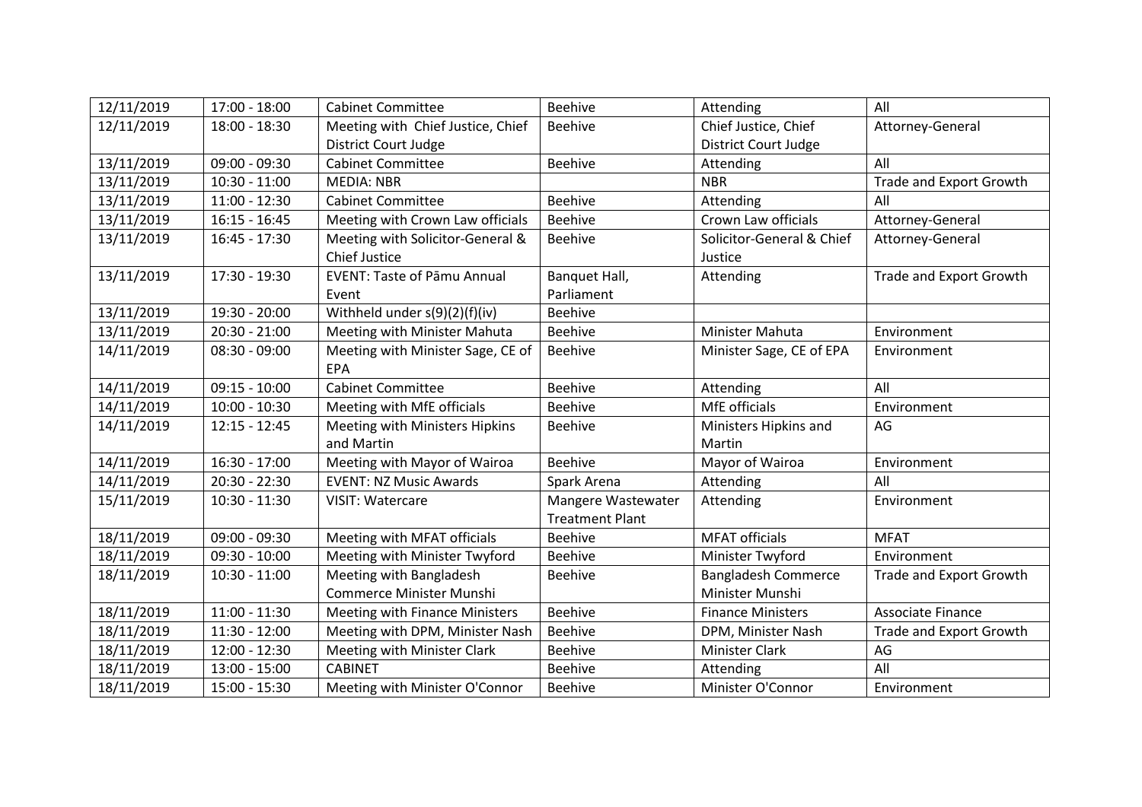| 12/11/2019 | $17:00 - 18:00$ | <b>Cabinet Committee</b>              | <b>Beehive</b>         | Attending                  | All                            |
|------------|-----------------|---------------------------------------|------------------------|----------------------------|--------------------------------|
| 12/11/2019 | 18:00 - 18:30   | Meeting with Chief Justice, Chief     | <b>Beehive</b>         | Chief Justice, Chief       | Attorney-General               |
|            |                 | District Court Judge                  |                        | District Court Judge       |                                |
| 13/11/2019 | $09:00 - 09:30$ | <b>Cabinet Committee</b>              | <b>Beehive</b>         | Attending                  | All                            |
| 13/11/2019 | $10:30 - 11:00$ | <b>MEDIA: NBR</b>                     |                        | <b>NBR</b>                 | <b>Trade and Export Growth</b> |
| 13/11/2019 | $11:00 - 12:30$ | <b>Cabinet Committee</b>              | <b>Beehive</b>         | Attending                  | All                            |
| 13/11/2019 | $16:15 - 16:45$ | Meeting with Crown Law officials      | <b>Beehive</b>         | Crown Law officials        | Attorney-General               |
| 13/11/2019 | $16:45 - 17:30$ | Meeting with Solicitor-General &      | <b>Beehive</b>         | Solicitor-General & Chief  | Attorney-General               |
|            |                 | <b>Chief Justice</b>                  |                        | Justice                    |                                |
| 13/11/2019 | 17:30 - 19:30   | <b>EVENT: Taste of Pāmu Annual</b>    | Banquet Hall,          | Attending                  | Trade and Export Growth        |
|            |                 | Event                                 | Parliament             |                            |                                |
| 13/11/2019 | 19:30 - 20:00   | Withheld under s(9)(2)(f)(iv)         | <b>Beehive</b>         |                            |                                |
| 13/11/2019 | $20:30 - 21:00$ | Meeting with Minister Mahuta          | <b>Beehive</b>         | <b>Minister Mahuta</b>     | Environment                    |
| 14/11/2019 | $08:30 - 09:00$ | Meeting with Minister Sage, CE of     | <b>Beehive</b>         | Minister Sage, CE of EPA   | Environment                    |
|            |                 | EPA                                   |                        |                            |                                |
| 14/11/2019 | $09:15 - 10:00$ | <b>Cabinet Committee</b>              | <b>Beehive</b>         | Attending                  | All                            |
| 14/11/2019 | $10:00 - 10:30$ | Meeting with MfE officials            | <b>Beehive</b>         | MfE officials              | Environment                    |
| 14/11/2019 | $12:15 - 12:45$ | Meeting with Ministers Hipkins        | <b>Beehive</b>         | Ministers Hipkins and      | AG                             |
|            |                 | and Martin                            |                        | Martin                     |                                |
| 14/11/2019 | 16:30 - 17:00   | Meeting with Mayor of Wairoa          | <b>Beehive</b>         | Mayor of Wairoa            | Environment                    |
| 14/11/2019 | 20:30 - 22:30   | <b>EVENT: NZ Music Awards</b>         | Spark Arena            | Attending                  | All                            |
| 15/11/2019 | $10:30 - 11:30$ | <b>VISIT: Watercare</b>               | Mangere Wastewater     | Attending                  | Environment                    |
|            |                 |                                       | <b>Treatment Plant</b> |                            |                                |
| 18/11/2019 | $09:00 - 09:30$ | Meeting with MFAT officials           | <b>Beehive</b>         | <b>MFAT officials</b>      | <b>MFAT</b>                    |
| 18/11/2019 | $09:30 - 10:00$ | Meeting with Minister Twyford         | <b>Beehive</b>         | Minister Twyford           | Environment                    |
| 18/11/2019 | $10:30 - 11:00$ | Meeting with Bangladesh               | <b>Beehive</b>         | <b>Bangladesh Commerce</b> | Trade and Export Growth        |
|            |                 | <b>Commerce Minister Munshi</b>       |                        | Minister Munshi            |                                |
| 18/11/2019 | $11:00 - 11:30$ | <b>Meeting with Finance Ministers</b> | <b>Beehive</b>         | <b>Finance Ministers</b>   | Associate Finance              |
| 18/11/2019 | $11:30 - 12:00$ | Meeting with DPM, Minister Nash       | <b>Beehive</b>         | DPM, Minister Nash         | <b>Trade and Export Growth</b> |
| 18/11/2019 | 12:00 - 12:30   | Meeting with Minister Clark           | <b>Beehive</b>         | <b>Minister Clark</b>      | AG                             |
| 18/11/2019 | $13:00 - 15:00$ | <b>CABINET</b>                        | <b>Beehive</b>         | Attending                  | All                            |
| 18/11/2019 | $15:00 - 15:30$ | Meeting with Minister O'Connor        | <b>Beehive</b>         | Minister O'Connor          | Environment                    |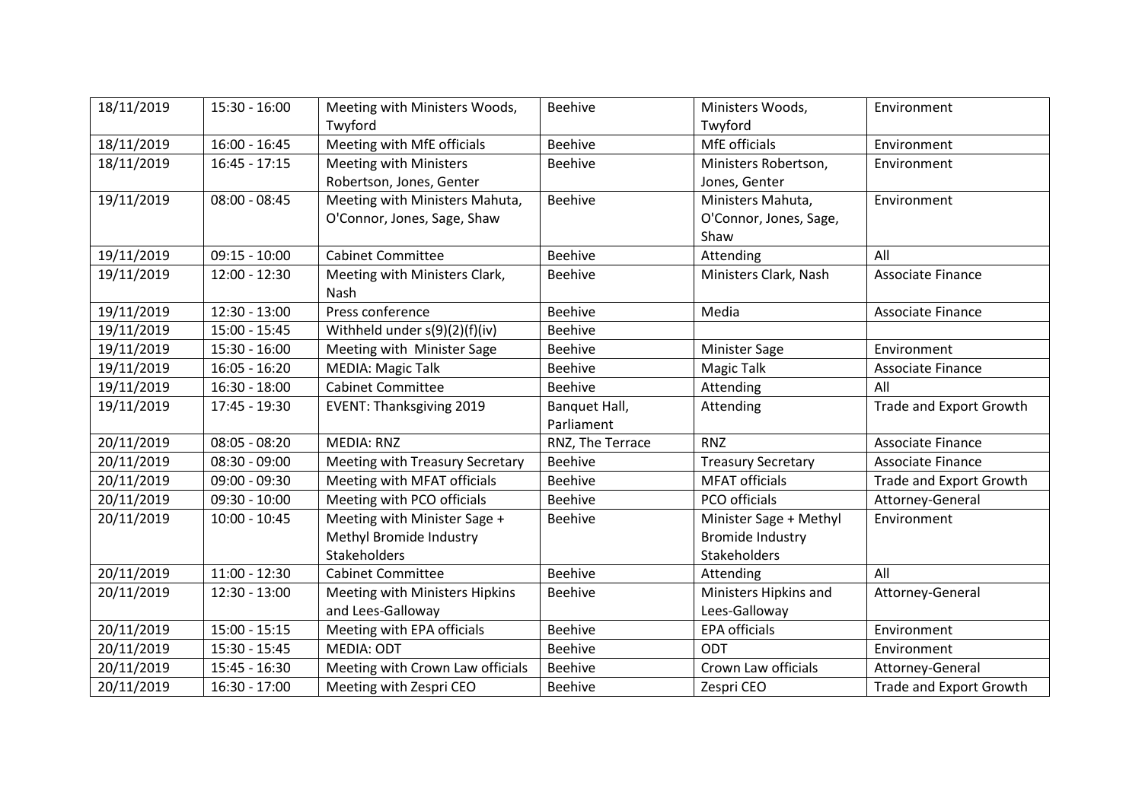| 18/11/2019 | $15:30 - 16:00$ | Meeting with Ministers Woods,    | Beehive          | Ministers Woods,          | Environment                    |
|------------|-----------------|----------------------------------|------------------|---------------------------|--------------------------------|
|            |                 | Twyford                          |                  | Twyford                   |                                |
| 18/11/2019 | $16:00 - 16:45$ | Meeting with MfE officials       | <b>Beehive</b>   | MfE officials             | Environment                    |
| 18/11/2019 | $16:45 - 17:15$ | <b>Meeting with Ministers</b>    | <b>Beehive</b>   | Ministers Robertson,      | Environment                    |
|            |                 | Robertson, Jones, Genter         |                  | Jones, Genter             |                                |
| 19/11/2019 | $08:00 - 08:45$ | Meeting with Ministers Mahuta,   | Beehive          | Ministers Mahuta,         | Environment                    |
|            |                 | O'Connor, Jones, Sage, Shaw      |                  | O'Connor, Jones, Sage,    |                                |
|            |                 |                                  |                  | Shaw                      |                                |
| 19/11/2019 | $09:15 - 10:00$ | <b>Cabinet Committee</b>         | <b>Beehive</b>   | Attending                 | All                            |
| 19/11/2019 | 12:00 - 12:30   | Meeting with Ministers Clark,    | <b>Beehive</b>   | Ministers Clark, Nash     | Associate Finance              |
|            |                 | Nash                             |                  |                           |                                |
| 19/11/2019 | $12:30 - 13:00$ | Press conference                 | Beehive          | Media                     | Associate Finance              |
| 19/11/2019 | $15:00 - 15:45$ | Withheld under s(9)(2)(f)(iv)    | <b>Beehive</b>   |                           |                                |
| 19/11/2019 | 15:30 - 16:00   | Meeting with Minister Sage       | Beehive          | <b>Minister Sage</b>      | Environment                    |
| 19/11/2019 | $16:05 - 16:20$ | <b>MEDIA: Magic Talk</b>         | <b>Beehive</b>   | <b>Magic Talk</b>         | <b>Associate Finance</b>       |
| 19/11/2019 | $16:30 - 18:00$ | <b>Cabinet Committee</b>         | Beehive          | Attending                 | All                            |
| 19/11/2019 | 17:45 - 19:30   | <b>EVENT: Thanksgiving 2019</b>  | Banquet Hall,    | Attending                 | <b>Trade and Export Growth</b> |
|            |                 |                                  | Parliament       |                           |                                |
| 20/11/2019 | $08:05 - 08:20$ | <b>MEDIA: RNZ</b>                | RNZ, The Terrace | <b>RNZ</b>                | Associate Finance              |
| 20/11/2019 | $08:30 - 09:00$ | Meeting with Treasury Secretary  | <b>Beehive</b>   | <b>Treasury Secretary</b> | Associate Finance              |
| 20/11/2019 | $09:00 - 09:30$ | Meeting with MFAT officials      | Beehive          | <b>MFAT officials</b>     | <b>Trade and Export Growth</b> |
| 20/11/2019 | $09:30 - 10:00$ | Meeting with PCO officials       | <b>Beehive</b>   | PCO officials             | Attorney-General               |
| 20/11/2019 | $10:00 - 10:45$ | Meeting with Minister Sage +     | Beehive          | Minister Sage + Methyl    | Environment                    |
|            |                 | Methyl Bromide Industry          |                  | <b>Bromide Industry</b>   |                                |
|            |                 | <b>Stakeholders</b>              |                  | <b>Stakeholders</b>       |                                |
| 20/11/2019 | $11:00 - 12:30$ | <b>Cabinet Committee</b>         | <b>Beehive</b>   | Attending                 | All                            |
| 20/11/2019 | $12:30 - 13:00$ | Meeting with Ministers Hipkins   | <b>Beehive</b>   | Ministers Hipkins and     | Attorney-General               |
|            |                 | and Lees-Galloway                |                  | Lees-Galloway             |                                |
| 20/11/2019 | $15:00 - 15:15$ | Meeting with EPA officials       | Beehive          | <b>EPA officials</b>      | Environment                    |
| 20/11/2019 | 15:30 - 15:45   | <b>MEDIA: ODT</b>                | Beehive          | ODT                       | Environment                    |
| 20/11/2019 | 15:45 - 16:30   | Meeting with Crown Law officials | Beehive          | Crown Law officials       | Attorney-General               |
| 20/11/2019 | $16:30 - 17:00$ | Meeting with Zespri CEO          | Beehive          | Zespri CEO                | Trade and Export Growth        |